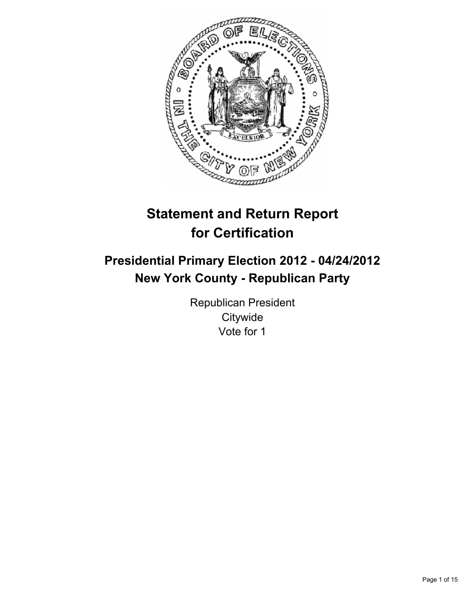

# **Statement and Return Report for Certification**

## **Presidential Primary Election 2012 - 04/24/2012 New York County - Republican Party**

Republican President **Citywide** Vote for 1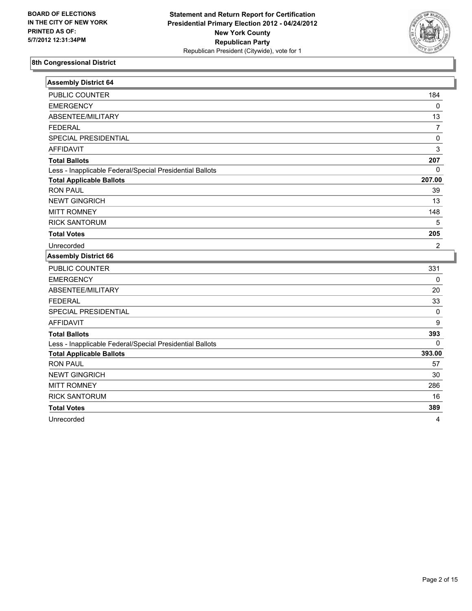

| <b>Assembly District 64</b>                              |                |
|----------------------------------------------------------|----------------|
| PUBLIC COUNTER                                           | 184            |
| <b>EMERGENCY</b>                                         | 0              |
| ABSENTEE/MILITARY                                        | 13             |
| <b>FEDERAL</b>                                           | 7              |
| SPECIAL PRESIDENTIAL                                     | 0              |
| <b>AFFIDAVIT</b>                                         | 3              |
| <b>Total Ballots</b>                                     | 207            |
| Less - Inapplicable Federal/Special Presidential Ballots | 0              |
| <b>Total Applicable Ballots</b>                          | 207.00         |
| <b>RON PAUL</b>                                          | 39             |
| <b>NEWT GINGRICH</b>                                     | 13             |
| <b>MITT ROMNEY</b>                                       | 148            |
| <b>RICK SANTORUM</b>                                     | 5              |
| <b>Total Votes</b>                                       | 205            |
| Unrecorded                                               | $\overline{2}$ |
| <b>Assembly District 66</b>                              |                |
| PUBLIC COUNTER                                           | 331            |
| <b>EMERGENCY</b>                                         | 0              |
| ABSENTEE/MILITARY                                        | 20             |
| <b>FEDERAL</b>                                           | 33             |
| SPECIAL PRESIDENTIAL                                     | 0              |
| <b>AFFIDAVIT</b>                                         | 9              |
| <b>Total Ballots</b>                                     | 393            |
| Less - Inapplicable Federal/Special Presidential Ballots | $\Omega$       |
| <b>Total Applicable Ballots</b>                          | 393.00         |
| <b>RON PAUL</b>                                          | 57             |
| <b>NEWT GINGRICH</b>                                     | 30             |
| <b>MITT ROMNEY</b>                                       | 286            |
| <b>RICK SANTORUM</b>                                     | 16             |
| <b>Total Votes</b>                                       | 389            |
| Unrecorded                                               | 4              |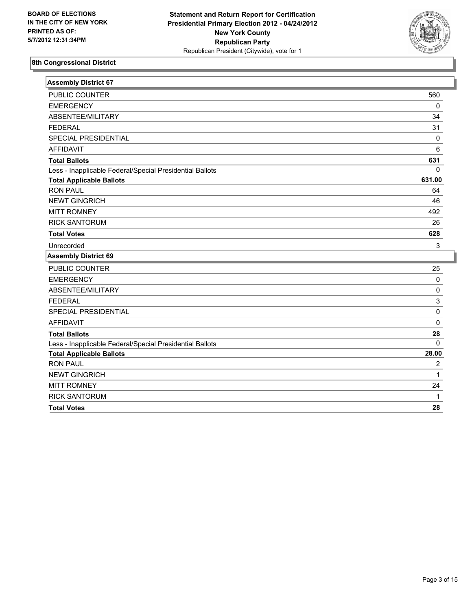

| <b>Assembly District 67</b>                              |             |
|----------------------------------------------------------|-------------|
| <b>PUBLIC COUNTER</b>                                    | 560         |
| <b>EMERGENCY</b>                                         | $\mathbf 0$ |
| ABSENTEE/MILITARY                                        | 34          |
| <b>FEDERAL</b>                                           | 31          |
| SPECIAL PRESIDENTIAL                                     | 0           |
| <b>AFFIDAVIT</b>                                         | 6           |
| <b>Total Ballots</b>                                     | 631         |
| Less - Inapplicable Federal/Special Presidential Ballots | $\Omega$    |
| <b>Total Applicable Ballots</b>                          | 631.00      |
| <b>RON PAUL</b>                                          | 64          |
| <b>NEWT GINGRICH</b>                                     | 46          |
| <b>MITT ROMNEY</b>                                       | 492         |
| <b>RICK SANTORUM</b>                                     | 26          |
| <b>Total Votes</b>                                       | 628         |
| Unrecorded                                               | 3           |
| <b>Assembly District 69</b>                              |             |
| PUBLIC COUNTER                                           | 25          |
| <b>EMERGENCY</b>                                         | 0           |
| ABSENTEE/MILITARY                                        | $\mathbf 0$ |
| <b>FEDERAL</b>                                           | 3           |
| SPECIAL PRESIDENTIAL                                     | 0           |
| <b>AFFIDAVIT</b>                                         | 0           |
| <b>Total Ballots</b>                                     | 28          |
| Less - Inapplicable Federal/Special Presidential Ballots | $\Omega$    |
| <b>Total Applicable Ballots</b>                          | 28.00       |
| <b>RON PAUL</b>                                          | 2           |
| <b>NEWT GINGRICH</b>                                     | 1           |
| <b>MITT ROMNEY</b>                                       | 24          |
| <b>RICK SANTORUM</b>                                     | 1           |
| <b>Total Votes</b>                                       | 28          |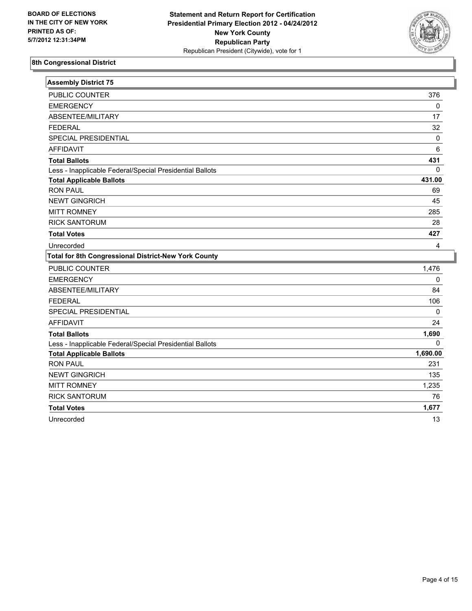

| <b>Assembly District 75</b>                                 |             |
|-------------------------------------------------------------|-------------|
| PUBLIC COUNTER                                              | 376         |
| <b>EMERGENCY</b>                                            | 0           |
| ABSENTEE/MILITARY                                           | 17          |
| <b>FEDERAL</b>                                              | 32          |
| SPECIAL PRESIDENTIAL                                        | $\mathbf 0$ |
| <b>AFFIDAVIT</b>                                            | 6           |
| <b>Total Ballots</b>                                        | 431         |
| Less - Inapplicable Federal/Special Presidential Ballots    | 0           |
| <b>Total Applicable Ballots</b>                             | 431.00      |
| <b>RON PAUL</b>                                             | 69          |
| <b>NEWT GINGRICH</b>                                        | 45          |
| <b>MITT ROMNEY</b>                                          | 285         |
| <b>RICK SANTORUM</b>                                        | 28          |
| <b>Total Votes</b>                                          | 427         |
| Unrecorded                                                  | 4           |
| <b>Total for 8th Congressional District-New York County</b> |             |
| PUBLIC COUNTER                                              | 1,476       |
| <b>EMERGENCY</b>                                            | 0           |
| ABSENTEE/MILITARY                                           | 84          |
| <b>FEDERAL</b>                                              | 106         |
| SPECIAL PRESIDENTIAL                                        |             |
|                                                             | 0           |
| <b>AFFIDAVIT</b>                                            | 24          |
| <b>Total Ballots</b>                                        | 1,690       |
| Less - Inapplicable Federal/Special Presidential Ballots    | $\Omega$    |
| <b>Total Applicable Ballots</b>                             | 1,690.00    |
| <b>RON PAUL</b>                                             | 231         |
| <b>NEWT GINGRICH</b>                                        | 135         |
| <b>MITT ROMNEY</b>                                          | 1,235       |
| <b>RICK SANTORUM</b>                                        | 76          |
| <b>Total Votes</b>                                          | 1,677       |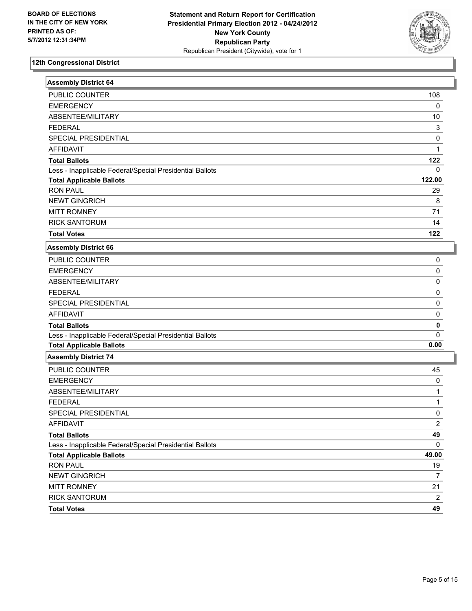

| <b>Assembly District 64</b>                              |                         |
|----------------------------------------------------------|-------------------------|
| <b>PUBLIC COUNTER</b>                                    | 108                     |
| <b>EMERGENCY</b>                                         | 0                       |
| ABSENTEE/MILITARY                                        | 10                      |
| <b>FEDERAL</b>                                           | 3                       |
| SPECIAL PRESIDENTIAL                                     | 0                       |
| <b>AFFIDAVIT</b>                                         | $\mathbf{1}$            |
| <b>Total Ballots</b>                                     | 122                     |
| Less - Inapplicable Federal/Special Presidential Ballots | 0                       |
| <b>Total Applicable Ballots</b>                          | 122.00                  |
| <b>RON PAUL</b>                                          | 29                      |
| <b>NEWT GINGRICH</b>                                     | 8                       |
| <b>MITT ROMNEY</b>                                       | 71                      |
| <b>RICK SANTORUM</b>                                     | 14                      |
| <b>Total Votes</b>                                       | 122                     |
| <b>Assembly District 66</b>                              |                         |
| PUBLIC COUNTER                                           | 0                       |
| <b>EMERGENCY</b>                                         | 0                       |
| ABSENTEE/MILITARY                                        | $\pmb{0}$               |
| <b>FEDERAL</b>                                           | $\pmb{0}$               |
| SPECIAL PRESIDENTIAL                                     | 0                       |
| <b>AFFIDAVIT</b>                                         | 0                       |
| <b>Total Ballots</b>                                     | $\pmb{0}$               |
| Less - Inapplicable Federal/Special Presidential Ballots | 0                       |
| <b>Total Applicable Ballots</b>                          | 0.00                    |
| <b>Assembly District 74</b>                              |                         |
| PUBLIC COUNTER                                           | 45                      |
| <b>EMERGENCY</b>                                         | 0                       |
| ABSENTEE/MILITARY                                        | 1                       |
| <b>FEDERAL</b>                                           | 1                       |
| SPECIAL PRESIDENTIAL                                     | 0                       |
| AFFIDAVIT                                                | $\overline{\mathbf{c}}$ |
| <b>Total Ballots</b>                                     | 49                      |
| Less - Inapplicable Federal/Special Presidential Ballots | $\mathbf 0$             |
| <b>Total Applicable Ballots</b>                          | 49.00                   |
| <b>RON PAUL</b>                                          | 19                      |
| NEWT GINGRICH                                            | $\overline{7}$          |
| <b>MITT ROMNEY</b>                                       | 21                      |
| <b>RICK SANTORUM</b>                                     | $\overline{c}$          |
| <b>Total Votes</b>                                       | 49                      |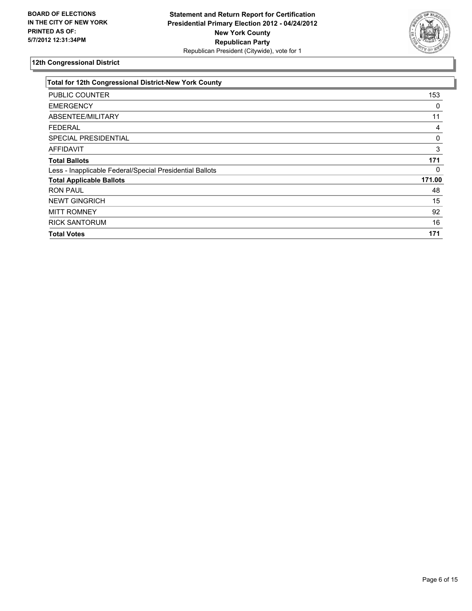

| Total for 12th Congressional District-New York County    |        |
|----------------------------------------------------------|--------|
| PUBLIC COUNTER                                           | 153    |
| <b>EMERGENCY</b>                                         | 0      |
| <b>ABSENTEE/MILITARY</b>                                 | 11     |
| <b>FEDERAL</b>                                           | 4      |
| <b>SPECIAL PRESIDENTIAL</b>                              | 0      |
| <b>AFFIDAVIT</b>                                         | 3      |
| <b>Total Ballots</b>                                     | 171    |
| Less - Inapplicable Federal/Special Presidential Ballots | 0      |
| <b>Total Applicable Ballots</b>                          | 171.00 |
| <b>RON PAUL</b>                                          | 48     |
| <b>NEWT GINGRICH</b>                                     | 15     |
| <b>MITT ROMNEY</b>                                       | 92     |
| <b>RICK SANTORUM</b>                                     | 16     |
| <b>Total Votes</b>                                       | 171    |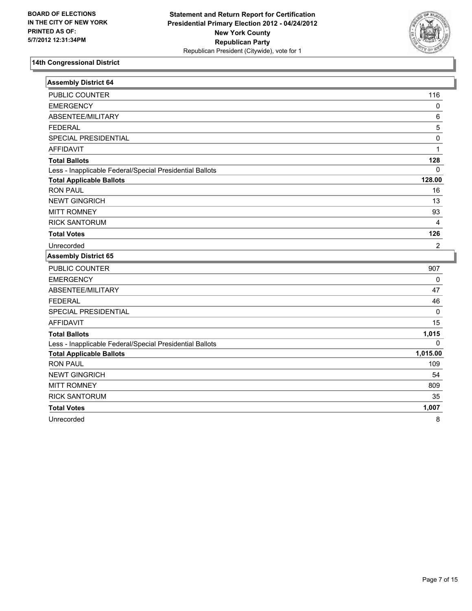

| <b>Assembly District 64</b>                              |                |
|----------------------------------------------------------|----------------|
| PUBLIC COUNTER                                           | 116            |
| <b>EMERGENCY</b>                                         | $\pmb{0}$      |
| ABSENTEE/MILITARY                                        | 6              |
| <b>FEDERAL</b>                                           | 5              |
| SPECIAL PRESIDENTIAL                                     | $\mathbf 0$    |
| <b>AFFIDAVIT</b>                                         | 1              |
| <b>Total Ballots</b>                                     | 128            |
| Less - Inapplicable Federal/Special Presidential Ballots | $\mathbf{0}$   |
| <b>Total Applicable Ballots</b>                          | 128.00         |
| <b>RON PAUL</b>                                          | 16             |
| <b>NEWT GINGRICH</b>                                     | 13             |
| <b>MITT ROMNEY</b>                                       | 93             |
| <b>RICK SANTORUM</b>                                     | $\overline{4}$ |
| <b>Total Votes</b>                                       | 126            |
| Unrecorded                                               | $\overline{2}$ |
| <b>Assembly District 65</b>                              |                |
| PUBLIC COUNTER                                           | 907            |
| <b>EMERGENCY</b>                                         | 0              |
| <b>ABSENTEE/MILITARY</b>                                 | 47             |
| <b>FEDERAL</b>                                           | 46             |
| SPECIAL PRESIDENTIAL                                     | 0              |
| <b>AFFIDAVIT</b>                                         | 15             |
| <b>Total Ballots</b>                                     | 1,015          |
| Less - Inapplicable Federal/Special Presidential Ballots | $\Omega$       |
| <b>Total Applicable Ballots</b>                          | 1,015.00       |
| <b>RON PAUL</b>                                          | 109            |
| <b>NEWT GINGRICH</b>                                     | 54             |
| <b>MITT ROMNEY</b>                                       | 809            |
| <b>RICK SANTORUM</b>                                     | 35             |
| <b>Total Votes</b>                                       | 1,007          |
| Unrecorded                                               | 8              |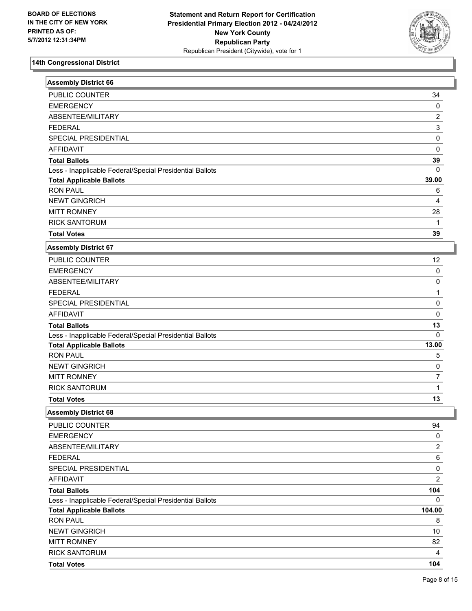

| <b>Assembly District 66</b>                              |                |
|----------------------------------------------------------|----------------|
| PUBLIC COUNTER                                           | 34             |
| <b>EMERGENCY</b>                                         | $\pmb{0}$      |
| ABSENTEE/MILITARY                                        | $\overline{c}$ |
| <b>FEDERAL</b>                                           | 3              |
| SPECIAL PRESIDENTIAL                                     | 0              |
| <b>AFFIDAVIT</b>                                         | 0              |
| <b>Total Ballots</b>                                     | 39             |
| Less - Inapplicable Federal/Special Presidential Ballots | 0              |
| <b>Total Applicable Ballots</b>                          | 39.00          |
| <b>RON PAUL</b>                                          | 6              |
| <b>NEWT GINGRICH</b>                                     | 4              |
| <b>MITT ROMNEY</b>                                       | 28             |
| <b>RICK SANTORUM</b>                                     | $\mathbf{1}$   |
| <b>Total Votes</b>                                       | 39             |
| <b>Assembly District 67</b>                              |                |
| PUBLIC COUNTER                                           | 12             |
| <b>EMERGENCY</b>                                         | 0              |
| ABSENTEE/MILITARY                                        | 0              |
| <b>FEDERAL</b>                                           | 1              |
| SPECIAL PRESIDENTIAL                                     | 0              |
| <b>AFFIDAVIT</b>                                         | 0              |
| <b>Total Ballots</b>                                     | 13             |
| Less - Inapplicable Federal/Special Presidential Ballots | 0              |
| <b>Total Applicable Ballots</b>                          | 13.00          |
| <b>RON PAUL</b>                                          | 5              |
| <b>NEWT GINGRICH</b>                                     | 0              |
| <b>MITT ROMNEY</b>                                       | 7              |
| <b>RICK SANTORUM</b>                                     | $\mathbf{1}$   |
| <b>Total Votes</b>                                       | 13             |
| <b>Assembly District 68</b>                              |                |
| PUBLIC COUNTER                                           | 94             |
| <b>EMERGENCY</b>                                         | 0              |
| ABSENTEE/MILITARY                                        | $\overline{2}$ |
| <b>FEDERAL</b>                                           | 6              |
| SPECIAL PRESIDENTIAL                                     | 0              |
| <b>AFFIDAVIT</b>                                         | $\overline{c}$ |
| <b>Total Ballots</b>                                     | 104            |
| Less - Inapplicable Federal/Special Presidential Ballots | 0              |
| <b>Total Applicable Ballots</b>                          | 104.00         |
| <b>RON PAUL</b>                                          | 8              |
| <b>NEWT GINGRICH</b>                                     | 10             |
| <b>MITT ROMNEY</b>                                       | 82             |
| <b>RICK SANTORUM</b>                                     | 4              |
| <b>Total Votes</b>                                       | 104            |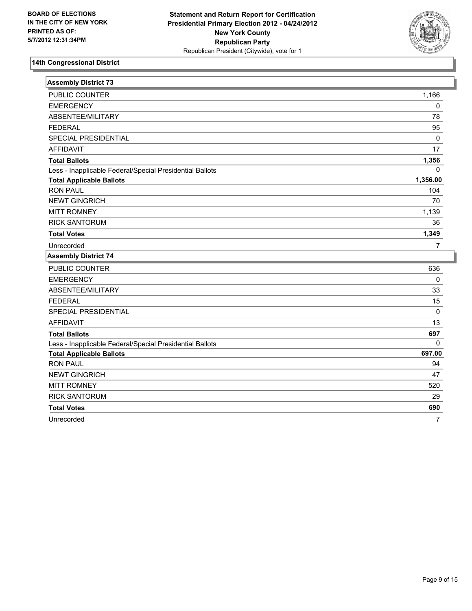

| <b>Assembly District 73</b>                              |                |
|----------------------------------------------------------|----------------|
| PUBLIC COUNTER                                           | 1,166          |
| <b>EMERGENCY</b>                                         | 0              |
| ABSENTEE/MILITARY                                        | 78             |
| <b>FEDERAL</b>                                           | 95             |
| SPECIAL PRESIDENTIAL                                     | 0              |
| <b>AFFIDAVIT</b>                                         | 17             |
| <b>Total Ballots</b>                                     | 1,356          |
| Less - Inapplicable Federal/Special Presidential Ballots | $\mathbf 0$    |
| <b>Total Applicable Ballots</b>                          | 1,356.00       |
| <b>RON PAUL</b>                                          | 104            |
| <b>NEWT GINGRICH</b>                                     | 70             |
| <b>MITT ROMNEY</b>                                       | 1,139          |
| <b>RICK SANTORUM</b>                                     | 36             |
| <b>Total Votes</b>                                       | 1,349          |
| Unrecorded                                               | $\overline{7}$ |
| <b>Assembly District 74</b>                              |                |
| PUBLIC COUNTER                                           | 636            |
| <b>EMERGENCY</b>                                         | $\mathbf 0$    |
| ABSENTEE/MILITARY                                        | 33             |
| <b>FEDERAL</b>                                           | 15             |
| SPECIAL PRESIDENTIAL                                     | 0              |
| <b>AFFIDAVIT</b>                                         | 13             |
| <b>Total Ballots</b>                                     | 697            |
| Less - Inapplicable Federal/Special Presidential Ballots | $\Omega$       |
| <b>Total Applicable Ballots</b>                          | 697.00         |
| <b>RON PAUL</b>                                          | 94             |
| <b>NEWT GINGRICH</b>                                     | 47             |
| <b>MITT ROMNEY</b>                                       | 520            |
| <b>RICK SANTORUM</b>                                     | 29             |
| <b>Total Votes</b>                                       | 690            |
| Unrecorded                                               | $\overline{7}$ |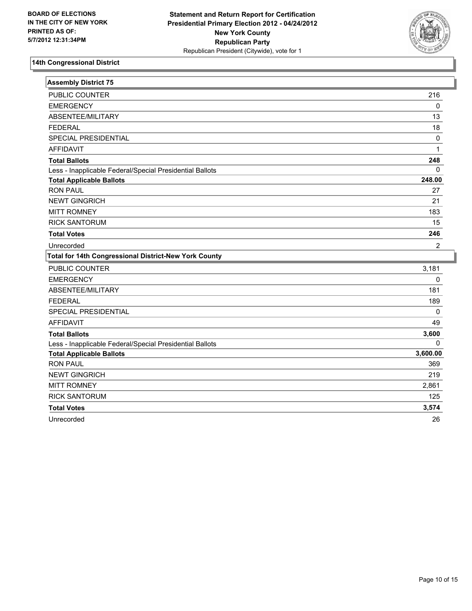

| <b>Assembly District 75</b>                              |                |
|----------------------------------------------------------|----------------|
| PUBLIC COUNTER                                           | 216            |
| <b>EMERGENCY</b>                                         | $\mathbf 0$    |
| ABSENTEE/MILITARY                                        | 13             |
| <b>FEDERAL</b>                                           | 18             |
| <b>SPECIAL PRESIDENTIAL</b>                              | $\mathbf 0$    |
| <b>AFFIDAVIT</b>                                         | $\mathbf{1}$   |
| <b>Total Ballots</b>                                     | 248            |
| Less - Inapplicable Federal/Special Presidential Ballots | $\mathbf 0$    |
| <b>Total Applicable Ballots</b>                          | 248.00         |
| <b>RON PAUL</b>                                          | 27             |
| <b>NEWT GINGRICH</b>                                     | 21             |
| <b>MITT ROMNEY</b>                                       | 183            |
| <b>RICK SANTORUM</b>                                     | 15             |
| <b>Total Votes</b>                                       | 246            |
| Unrecorded                                               | $\overline{2}$ |
|                                                          |                |
| Total for 14th Congressional District-New York County    |                |
| <b>PUBLIC COUNTER</b>                                    | 3,181          |
| <b>EMERGENCY</b>                                         | $\mathbf 0$    |
| ABSENTEE/MILITARY                                        | 181            |
| <b>FEDERAL</b>                                           | 189            |
| SPECIAL PRESIDENTIAL                                     | 0              |
| <b>AFFIDAVIT</b>                                         | 49             |
| <b>Total Ballots</b>                                     | 3,600          |
| Less - Inapplicable Federal/Special Presidential Ballots | 0              |
| <b>Total Applicable Ballots</b>                          | 3,600.00       |
| <b>RON PAUL</b>                                          | 369            |
| <b>NEWT GINGRICH</b>                                     | 219            |
| <b>MITT ROMNEY</b>                                       | 2,861          |
| <b>RICK SANTORUM</b>                                     | 125            |
| <b>Total Votes</b>                                       | 3,574          |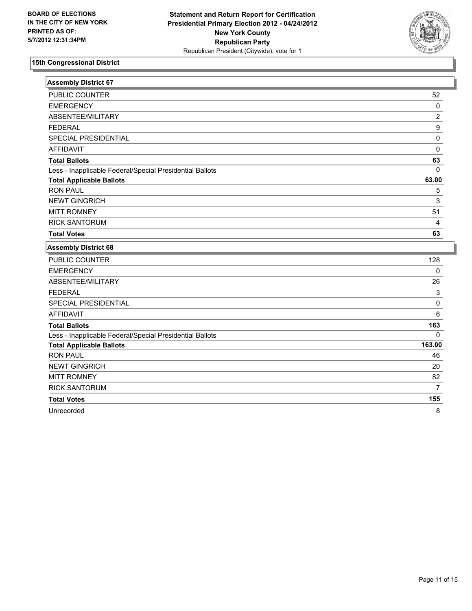

| <b>Assembly District 67</b>                              |                  |
|----------------------------------------------------------|------------------|
| PUBLIC COUNTER                                           | 52               |
| <b>EMERGENCY</b>                                         | 0                |
| ABSENTEE/MILITARY                                        | $\overline{2}$   |
| <b>FEDERAL</b>                                           | $\boldsymbol{9}$ |
| SPECIAL PRESIDENTIAL                                     | $\mathbf 0$      |
| <b>AFFIDAVIT</b>                                         | $\mathbf 0$      |
| <b>Total Ballots</b>                                     | 63               |
| Less - Inapplicable Federal/Special Presidential Ballots | $\mathbf{0}$     |
| <b>Total Applicable Ballots</b>                          | 63.00            |
| <b>RON PAUL</b>                                          | 5                |
| <b>NEWT GINGRICH</b>                                     | 3                |
| <b>MITT ROMNEY</b>                                       | 51               |
| <b>RICK SANTORUM</b>                                     | 4                |
| <b>Total Votes</b>                                       | 63               |
| <b>Assembly District 68</b>                              |                  |
| <b>PUBLIC COUNTER</b>                                    | 128              |
| <b>EMERGENCY</b>                                         | 0                |
| ABSENTEE/MILITARY                                        | 26               |
| <b>FEDERAL</b>                                           | 3                |
| <b>SPECIAL PRESIDENTIAL</b>                              | $\mathbf 0$      |
| <b>AFFIDAVIT</b>                                         | 6                |
| <b>Total Ballots</b>                                     | 163              |
| Less - Inapplicable Federal/Special Presidential Ballots | $\Omega$         |
| <b>Total Applicable Ballots</b>                          | 163.00           |
| <b>RON PAUL</b>                                          | 46               |
| <b>NEWT GINGRICH</b>                                     | 20               |
| <b>MITT ROMNEY</b>                                       | 82               |
| <b>RICK SANTORUM</b>                                     | $\overline{7}$   |

**Total Votes 155** 

Unrecorded 8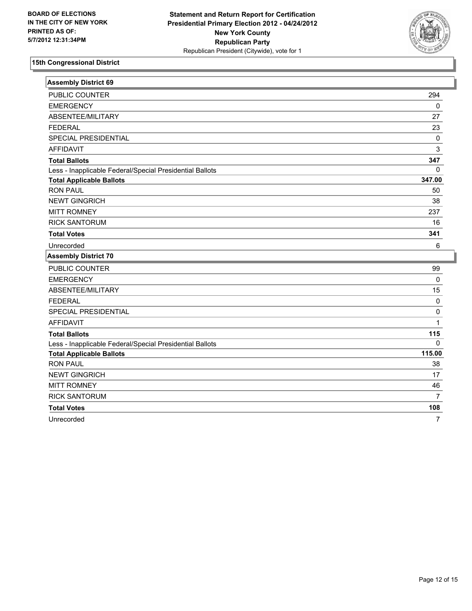

| <b>Assembly District 69</b>                              |                |
|----------------------------------------------------------|----------------|
| <b>PUBLIC COUNTER</b>                                    | 294            |
| <b>EMERGENCY</b>                                         | 0              |
| ABSENTEE/MILITARY                                        | 27             |
| <b>FEDERAL</b>                                           | 23             |
| SPECIAL PRESIDENTIAL                                     | $\pmb{0}$      |
| <b>AFFIDAVIT</b>                                         | 3              |
| <b>Total Ballots</b>                                     | 347            |
| Less - Inapplicable Federal/Special Presidential Ballots | $\mathbf{0}$   |
| <b>Total Applicable Ballots</b>                          | 347.00         |
| <b>RON PAUL</b>                                          | 50             |
| <b>NEWT GINGRICH</b>                                     | 38             |
| <b>MITT ROMNEY</b>                                       | 237            |
| <b>RICK SANTORUM</b>                                     | 16             |
| <b>Total Votes</b>                                       | 341            |
| Unrecorded                                               | 6              |
| <b>Assembly District 70</b>                              |                |
|                                                          |                |
| PUBLIC COUNTER                                           | 99             |
| <b>EMERGENCY</b>                                         | $\mathbf 0$    |
| ABSENTEE/MILITARY                                        | 15             |
| <b>FEDERAL</b>                                           | $\pmb{0}$      |
| SPECIAL PRESIDENTIAL                                     | 0              |
| <b>AFFIDAVIT</b>                                         | 1              |
| <b>Total Ballots</b>                                     | 115            |
| Less - Inapplicable Federal/Special Presidential Ballots | $\Omega$       |
| <b>Total Applicable Ballots</b>                          | 115.00         |
| <b>RON PAUL</b>                                          | 38             |
| <b>NEWT GINGRICH</b>                                     | 17             |
| <b>MITT ROMNEY</b>                                       | 46             |
| <b>RICK SANTORUM</b>                                     | $\overline{7}$ |
| <b>Total Votes</b>                                       | 108            |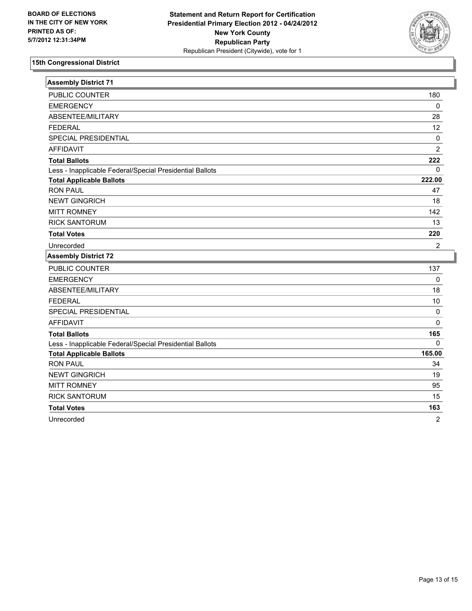

| <b>Assembly District 71</b>                              |                |
|----------------------------------------------------------|----------------|
| PUBLIC COUNTER                                           | 180            |
| <b>EMERGENCY</b>                                         | $\pmb{0}$      |
| ABSENTEE/MILITARY                                        | 28             |
| <b>FEDERAL</b>                                           | 12             |
| SPECIAL PRESIDENTIAL                                     | $\pmb{0}$      |
| <b>AFFIDAVIT</b>                                         | $\overline{2}$ |
| <b>Total Ballots</b>                                     | 222            |
| Less - Inapplicable Federal/Special Presidential Ballots | 0              |
| <b>Total Applicable Ballots</b>                          | 222.00         |
| <b>RON PAUL</b>                                          | 47             |
| <b>NEWT GINGRICH</b>                                     | 18             |
| <b>MITT ROMNEY</b>                                       | 142            |
| <b>RICK SANTORUM</b>                                     | 13             |
| <b>Total Votes</b>                                       | 220            |
| Unrecorded                                               | $\overline{2}$ |
|                                                          |                |
| <b>Assembly District 72</b>                              |                |
| PUBLIC COUNTER                                           | 137            |
| <b>EMERGENCY</b>                                         | $\mathbf 0$    |
| ABSENTEE/MILITARY                                        | 18             |
| <b>FEDERAL</b>                                           | 10             |
| SPECIAL PRESIDENTIAL                                     | $\pmb{0}$      |
| <b>AFFIDAVIT</b>                                         | 0              |
| <b>Total Ballots</b>                                     | 165            |
| Less - Inapplicable Federal/Special Presidential Ballots | 0              |
| <b>Total Applicable Ballots</b>                          | 165.00         |
| <b>RON PAUL</b>                                          | 34             |
| <b>NEWT GINGRICH</b>                                     | 19             |
| <b>MITT ROMNEY</b>                                       | 95             |
| <b>RICK SANTORUM</b>                                     | 15             |
| <b>Total Votes</b>                                       | 163            |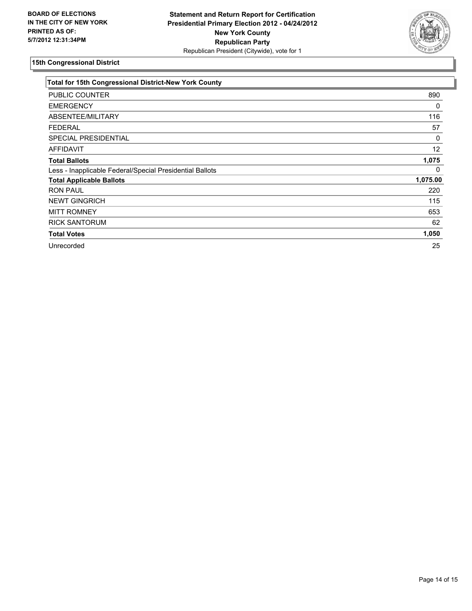

| <b>Total for 15th Congressional District-New York County</b> |          |
|--------------------------------------------------------------|----------|
| PUBLIC COUNTER                                               | 890      |
| <b>EMERGENCY</b>                                             | 0        |
| ABSENTEE/MILITARY                                            | 116      |
| <b>FEDERAL</b>                                               | 57       |
| SPECIAL PRESIDENTIAL                                         | 0        |
| <b>AFFIDAVIT</b>                                             | 12       |
| <b>Total Ballots</b>                                         | 1,075    |
| Less - Inapplicable Federal/Special Presidential Ballots     | 0        |
| <b>Total Applicable Ballots</b>                              | 1,075.00 |
| <b>RON PAUL</b>                                              | 220      |
| <b>NEWT GINGRICH</b>                                         | 115      |
| <b>MITT ROMNEY</b>                                           | 653      |
| <b>RICK SANTORUM</b>                                         | 62       |
| <b>Total Votes</b>                                           | 1,050    |
| Unrecorded                                                   | 25       |